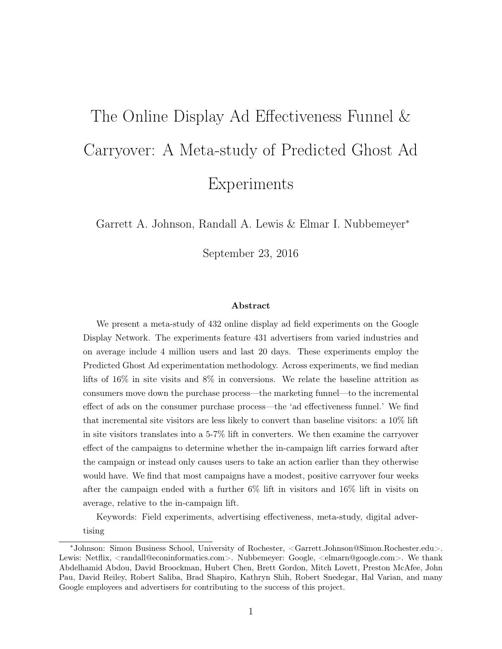# The Online Display Ad Effectiveness Funnel & Carryover: A Meta-study of Predicted Ghost Ad Experiments

Garrett A. Johnson, Randall A. Lewis & Elmar I. Nubbemeyer<sup>\*</sup>

September 23, 2016

#### Abstract

We present a meta-study of 432 online display ad field experiments on the Google Display Network. The experiments feature 431 advertisers from varied industries and on average include 4 million users and last 20 days. These experiments employ the Predicted Ghost Ad experimentation methodology. Across experiments, we find median lifts of 16% in site visits and 8% in conversions. We relate the baseline attrition as consumers move down the purchase process—the marketing funnel—to the incremental effect of ads on the consumer purchase process—the 'ad effectiveness funnel.' We find that incremental site visitors are less likely to convert than baseline visitors: a 10% lift in site visitors translates into a 5-7% lift in converters. We then examine the carryover effect of the campaigns to determine whether the in-campaign lift carries forward after the campaign or instead only causes users to take an action earlier than they otherwise would have. We find that most campaigns have a modest, positive carryover four weeks after the campaign ended with a further 6% lift in visitors and 16% lift in visits on average, relative to the in-campaign lift.

Keywords: Field experiments, advertising effectiveness, meta-study, digital advertising

<sup>⇤</sup>Johnson: Simon Business School, University of Rochester, <Garrett.Johnson@Simon.Rochester.edu>. Lewis: Netflix,  $\langle \text{randall@econinformatics.com}\rangle$ . Nubbemeyer: Google,  $\langle \text{elmann@google.com}\rangle$ . We thank Abdelhamid Abdou, David Broockman, Hubert Chen, Brett Gordon, Mitch Lovett, Preston McAfee, John Pau, David Reiley, Robert Saliba, Brad Shapiro, Kathryn Shih, Robert Snedegar, Hal Varian, and many Google employees and advertisers for contributing to the success of this project.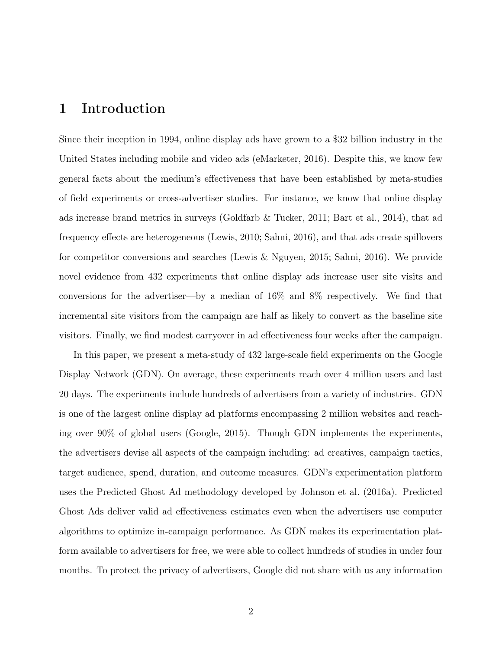# 1 Introduction

Since their inception in 1994, online display ads have grown to a \$32 billion industry in the United States including mobile and video ads (eMarketer, 2016). Despite this, we know few general facts about the medium's effectiveness that have been established by meta-studies of field experiments or cross-advertiser studies. For instance, we know that online display ads increase brand metrics in surveys (Goldfarb & Tucker, 2011; Bart et al., 2014), that ad frequency effects are heterogeneous (Lewis, 2010; Sahni, 2016), and that ads create spillovers for competitor conversions and searches (Lewis & Nguyen, 2015; Sahni, 2016). We provide novel evidence from 432 experiments that online display ads increase user site visits and conversions for the advertiser—by a median of 16% and 8% respectively. We find that incremental site visitors from the campaign are half as likely to convert as the baseline site visitors. Finally, we find modest carryover in ad effectiveness four weeks after the campaign.

In this paper, we present a meta-study of 432 large-scale field experiments on the Google Display Network (GDN). On average, these experiments reach over 4 million users and last 20 days. The experiments include hundreds of advertisers from a variety of industries. GDN is one of the largest online display ad platforms encompassing 2 million websites and reaching over 90% of global users (Google, 2015). Though GDN implements the experiments, the advertisers devise all aspects of the campaign including: ad creatives, campaign tactics, target audience, spend, duration, and outcome measures. GDN's experimentation platform uses the Predicted Ghost Ad methodology developed by Johnson et al. (2016a). Predicted Ghost Ads deliver valid ad effectiveness estimates even when the advertisers use computer algorithms to optimize in-campaign performance. As GDN makes its experimentation platform available to advertisers for free, we were able to collect hundreds of studies in under four months. To protect the privacy of advertisers, Google did not share with us any information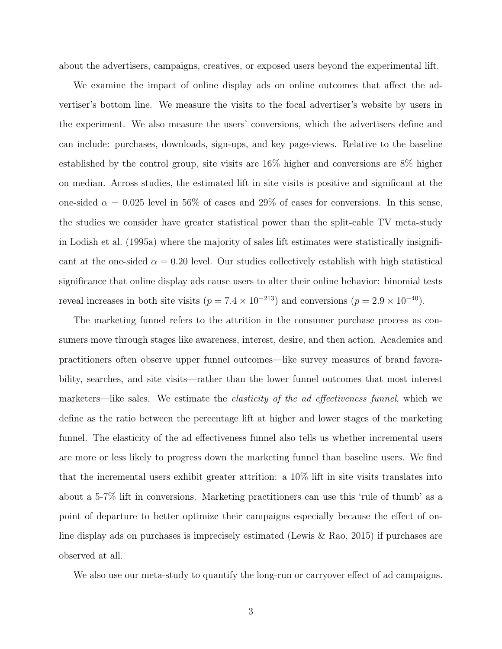about the advertisers, campaigns, creatives, or exposed users beyond the experimental lift.

We examine the impact of online display ads on online outcomes that affect the advertiser's bottom line. We measure the visits to the focal advertiser's website by users in the experiment. We also measure the users' conversions, which the advertisers define and can include: purchases, downloads, sign-ups, and key page-views. Relative to the baseline established by the control group, site visits are 16% higher and conversions are 8% higher on median. Across studies, the estimated lift in site visits is positive and significant at the one-sided  $\alpha = 0.025$  level in 56% of cases and 29% of cases for conversions. In this sense, the studies we consider have greater statistical power than the split-cable TV meta-study in Lodish et al. (1995a) where the majority of sales lift estimates were statistically insignificant at the one-sided  $\alpha = 0.20$  level. Our studies collectively establish with high statistical significance that online display ads cause users to alter their online behavior: binomial tests reveal increases in both site visits  $(p = 7.4 \times 10^{-213})$  and conversions  $(p = 2.9 \times 10^{-40})$ .

The marketing funnel refers to the attrition in the consumer purchase process as consumers move through stages like awareness, interest, desire, and then action. Academics and practitioners often observe upper funnel outcomes—like survey measures of brand favorability, searches, and site visits—rather than the lower funnel outcomes that most interest marketers—like sales. We estimate the *elasticity of the ad e*ff*ectiveness funnel*, which we define as the ratio between the percentage lift at higher and lower stages of the marketing funnel. The elasticity of the ad effectiveness funnel also tells us whether incremental users are more or less likely to progress down the marketing funnel than baseline users. We find that the incremental users exhibit greater attrition: a 10% lift in site visits translates into about a 5-7% lift in conversions. Marketing practitioners can use this 'rule of thumb' as a point of departure to better optimize their campaigns especially because the effect of online display ads on purchases is imprecisely estimated (Lewis & Rao, 2015) if purchases are observed at all.

We also use our meta-study to quantify the long-run or carryover effect of ad campaigns.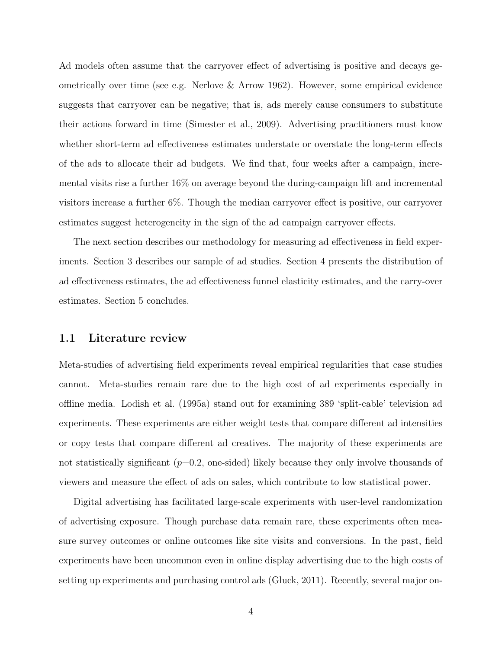Ad models often assume that the carryover effect of advertising is positive and decays geometrically over time (see e.g. Nerlove & Arrow 1962). However, some empirical evidence suggests that carryover can be negative; that is, ads merely cause consumers to substitute their actions forward in time (Simester et al., 2009). Advertising practitioners must know whether short-term ad effectiveness estimates understate or overstate the long-term effects of the ads to allocate their ad budgets. We find that, four weeks after a campaign, incremental visits rise a further 16% on average beyond the during-campaign lift and incremental visitors increase a further 6%. Though the median carryover effect is positive, our carryover estimates suggest heterogeneity in the sign of the ad campaign carryover effects.

The next section describes our methodology for measuring ad effectiveness in field experiments. Section 3 describes our sample of ad studies. Section 4 presents the distribution of ad effectiveness estimates, the ad effectiveness funnel elasticity estimates, and the carry-over estimates. Section 5 concludes.

#### 1.1 Literature review

Meta-studies of advertising field experiments reveal empirical regularities that case studies cannot. Meta-studies remain rare due to the high cost of ad experiments especially in offline media. Lodish et al. (1995a) stand out for examining 389 'split-cable' television ad experiments. These experiments are either weight tests that compare different ad intensities or copy tests that compare different ad creatives. The majority of these experiments are not statistically significant (*p*=0.2, one-sided) likely because they only involve thousands of viewers and measure the effect of ads on sales, which contribute to low statistical power.

Digital advertising has facilitated large-scale experiments with user-level randomization of advertising exposure. Though purchase data remain rare, these experiments often measure survey outcomes or online outcomes like site visits and conversions. In the past, field experiments have been uncommon even in online display advertising due to the high costs of setting up experiments and purchasing control ads (Gluck, 2011). Recently, several major on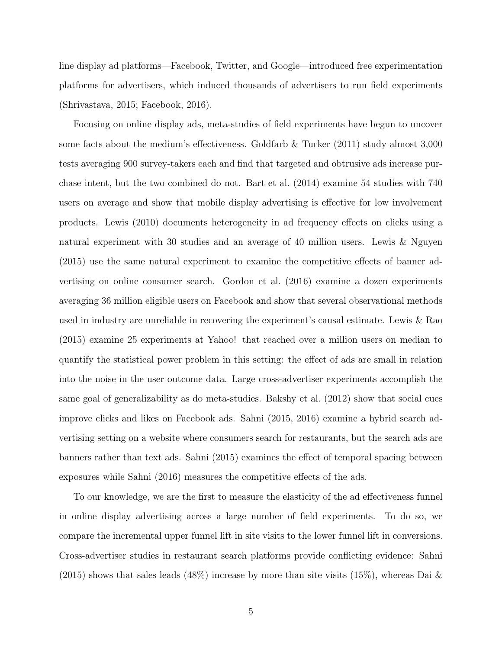line display ad platforms—Facebook, Twitter, and Google—introduced free experimentation platforms for advertisers, which induced thousands of advertisers to run field experiments (Shrivastava, 2015; Facebook, 2016).

Focusing on online display ads, meta-studies of field experiments have begun to uncover some facts about the medium's effectiveness. Goldfarb & Tucker (2011) study almost 3,000 tests averaging 900 survey-takers each and find that targeted and obtrusive ads increase purchase intent, but the two combined do not. Bart et al. (2014) examine 54 studies with 740 users on average and show that mobile display advertising is effective for low involvement products. Lewis (2010) documents heterogeneity in ad frequency effects on clicks using a natural experiment with 30 studies and an average of 40 million users. Lewis & Nguyen (2015) use the same natural experiment to examine the competitive effects of banner advertising on online consumer search. Gordon et al. (2016) examine a dozen experiments averaging 36 million eligible users on Facebook and show that several observational methods used in industry are unreliable in recovering the experiment's causal estimate. Lewis & Rao (2015) examine 25 experiments at Yahoo! that reached over a million users on median to quantify the statistical power problem in this setting: the effect of ads are small in relation into the noise in the user outcome data. Large cross-advertiser experiments accomplish the same goal of generalizability as do meta-studies. Bakshy et al. (2012) show that social cues improve clicks and likes on Facebook ads. Sahni (2015, 2016) examine a hybrid search advertising setting on a website where consumers search for restaurants, but the search ads are banners rather than text ads. Sahni (2015) examines the effect of temporal spacing between exposures while Sahni (2016) measures the competitive effects of the ads.

To our knowledge, we are the first to measure the elasticity of the ad effectiveness funnel in online display advertising across a large number of field experiments. To do so, we compare the incremental upper funnel lift in site visits to the lower funnel lift in conversions. Cross-advertiser studies in restaurant search platforms provide conflicting evidence: Sahni  $(2015)$  shows that sales leads  $(48\%)$  increase by more than site visits  $(15\%)$ , whereas Dai &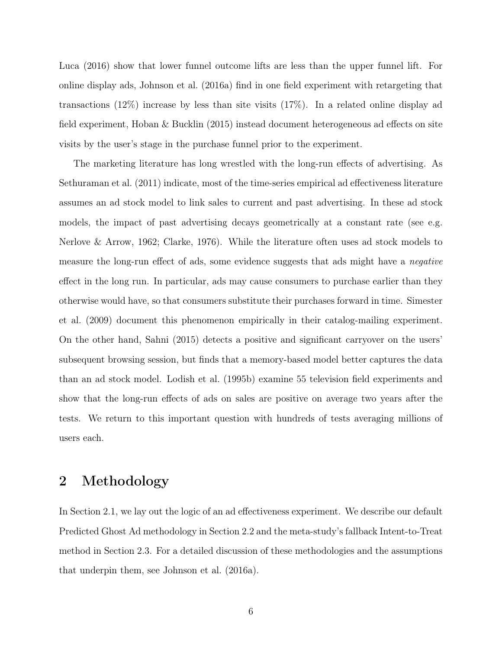Luca (2016) show that lower funnel outcome lifts are less than the upper funnel lift. For online display ads, Johnson et al. (2016a) find in one field experiment with retargeting that transactions (12%) increase by less than site visits  $(17\%)$ . In a related online display ad field experiment, Hoban & Bucklin (2015) instead document heterogeneous ad effects on site visits by the user's stage in the purchase funnel prior to the experiment.

The marketing literature has long wrestled with the long-run effects of advertising. As Sethuraman et al. (2011) indicate, most of the time-series empirical ad effectiveness literature assumes an ad stock model to link sales to current and past advertising. In these ad stock models, the impact of past advertising decays geometrically at a constant rate (see e.g. Nerlove & Arrow, 1962; Clarke, 1976). While the literature often uses ad stock models to measure the long-run effect of ads, some evidence suggests that ads might have a *negative* effect in the long run. In particular, ads may cause consumers to purchase earlier than they otherwise would have, so that consumers substitute their purchases forward in time. Simester et al. (2009) document this phenomenon empirically in their catalog-mailing experiment. On the other hand, Sahni (2015) detects a positive and significant carryover on the users' subsequent browsing session, but finds that a memory-based model better captures the data than an ad stock model. Lodish et al. (1995b) examine 55 television field experiments and show that the long-run effects of ads on sales are positive on average two years after the tests. We return to this important question with hundreds of tests averaging millions of users each.

# 2 Methodology

In Section 2.1, we lay out the logic of an ad effectiveness experiment. We describe our default Predicted Ghost Ad methodology in Section 2.2 and the meta-study's fallback Intent-to-Treat method in Section 2.3. For a detailed discussion of these methodologies and the assumptions that underpin them, see Johnson et al. (2016a).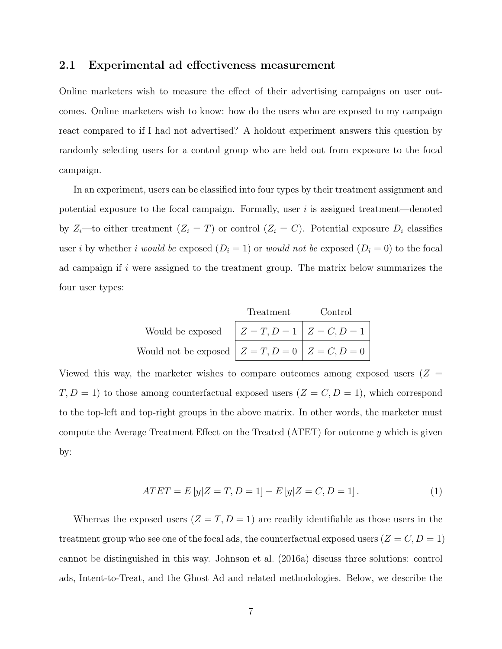#### 2.1 Experimental ad effectiveness measurement

Online marketers wish to measure the effect of their advertising campaigns on user outcomes. Online marketers wish to know: how do the users who are exposed to my campaign react compared to if I had not advertised? A holdout experiment answers this question by randomly selecting users for a control group who are held out from exposure to the focal campaign.

In an experiment, users can be classified into four types by their treatment assignment and potential exposure to the focal campaign. Formally, user *i* is assigned treatment—denoted by  $Z_i$ —to either treatment  $(Z_i = T)$  or control  $(Z_i = C)$ . Potential exposure  $D_i$  classifies user *i* by whether *i would be* exposed  $(D_i = 1)$  or *would not be* exposed  $(D_i = 0)$  to the focal ad campaign if *i* were assigned to the treatment group. The matrix below summarizes the four user types:

|                                                            | Treatment Control |  |
|------------------------------------------------------------|-------------------|--|
| Would be exposed $Z = T, D = 1   Z = C, D = 1  $           |                   |  |
| Would not be exposed $Z = T, D = 0 \mid Z = C, D = 0 \mid$ |                   |  |

Viewed this way, the marketer wishes to compare outcomes among exposed users  $(Z =$  $T, D = 1$ ) to those among counterfactual exposed users  $(Z = C, D = 1)$ , which correspond to the top-left and top-right groups in the above matrix. In other words, the marketer must compute the Average Treatment Effect on the Treated (ATET) for outcome *y* which is given by:

$$
ATET = E[y|Z = T, D = 1] - E[y|Z = C, D = 1].
$$
\n(1)

Whereas the exposed users  $(Z = T, D = 1)$  are readily identifiable as those users in the treatment group who see one of the focal ads, the counterfactual exposed users  $(Z = C, D = 1)$ cannot be distinguished in this way. Johnson et al. (2016a) discuss three solutions: control ads, Intent-to-Treat, and the Ghost Ad and related methodologies. Below, we describe the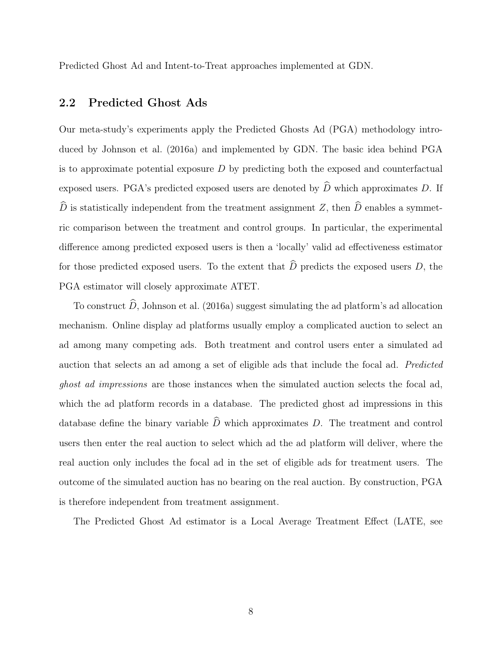Predicted Ghost Ad and Intent-to-Treat approaches implemented at GDN.

#### 2.2 Predicted Ghost Ads

Our meta-study's experiments apply the Predicted Ghosts Ad (PGA) methodology introduced by Johnson et al. (2016a) and implemented by GDN. The basic idea behind PGA is to approximate potential exposure *D* by predicting both the exposed and counterfactual exposed users. PGA's predicted exposed users are denoted by  $\widehat{D}$  which approximates *D*. If  $\widehat{D}$  is statistically independent from the treatment assignment *Z*, then  $\widehat{D}$  enables a symmetric comparison between the treatment and control groups. In particular, the experimental difference among predicted exposed users is then a 'locally' valid ad effectiveness estimator for those predicted exposed users. To the extent that  $\widehat{D}$  predicts the exposed users *D*, the PGA estimator will closely approximate ATET.

To construct  $\hat{D}$ , Johnson et al. (2016a) suggest simulating the ad platform's ad allocation mechanism. Online display ad platforms usually employ a complicated auction to select an ad among many competing ads. Both treatment and control users enter a simulated ad auction that selects an ad among a set of eligible ads that include the focal ad. *Predicted ghost ad impressions* are those instances when the simulated auction selects the focal ad, which the ad platform records in a database. The predicted ghost ad impressions in this database define the binary variable  $\widehat{D}$  which approximates  $D$ . The treatment and control users then enter the real auction to select which ad the ad platform will deliver, where the real auction only includes the focal ad in the set of eligible ads for treatment users. The outcome of the simulated auction has no bearing on the real auction. By construction, PGA is therefore independent from treatment assignment.

The Predicted Ghost Ad estimator is a Local Average Treatment Effect (LATE, see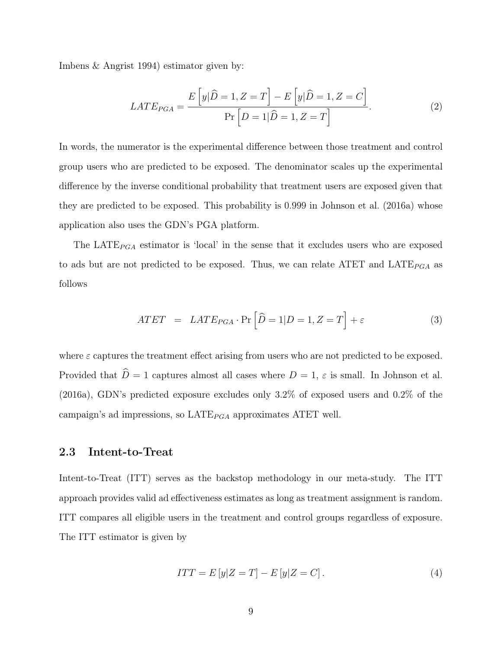Imbens & Angrist 1994) estimator given by:

$$
LATE_{PGA} = \frac{E\left[y|\hat{D}=1, Z=T\right] - E\left[y|\hat{D}=1, Z=C\right]}{\Pr\left[D=1|\hat{D}=1, Z=T\right]}.
$$
\n(2)

In words, the numerator is the experimental difference between those treatment and control group users who are predicted to be exposed. The denominator scales up the experimental difference by the inverse conditional probability that treatment users are exposed given that they are predicted to be exposed. This probability is 0.999 in Johnson et al. (2016a) whose application also uses the GDN's PGA platform.

The LATE<sub>PGA</sub> estimator is 'local' in the sense that it excludes users who are exposed to ads but are not predicted to be exposed. Thus, we can relate  $\text{ATET}$  and  $\text{LATE}_{PGA}$  as follows

$$
ATET = LATE_{PGA} \cdot \Pr\left[\hat{D} = 1 | D = 1, Z = T\right] + \varepsilon \tag{3}
$$

where  $\varepsilon$  captures the treatment effect arising from users who are not predicted to be exposed. Provided that  $\hat{D} = 1$  captures almost all cases where  $D = 1$ ,  $\varepsilon$  is small. In Johnson et al. (2016a), GDN's predicted exposure excludes only 3.2% of exposed users and 0.2% of the campaign's ad impressions, so LATE<sub>PGA</sub> approximates ATET well.

#### 2.3 Intent-to-Treat

Intent-to-Treat (ITT) serves as the backstop methodology in our meta-study. The ITT approach provides valid ad effectiveness estimates as long as treatment assignment is random. ITT compares all eligible users in the treatment and control groups regardless of exposure. The ITT estimator is given by

$$
ITT = E[y|Z = T] - E[y|Z = C]. \tag{4}
$$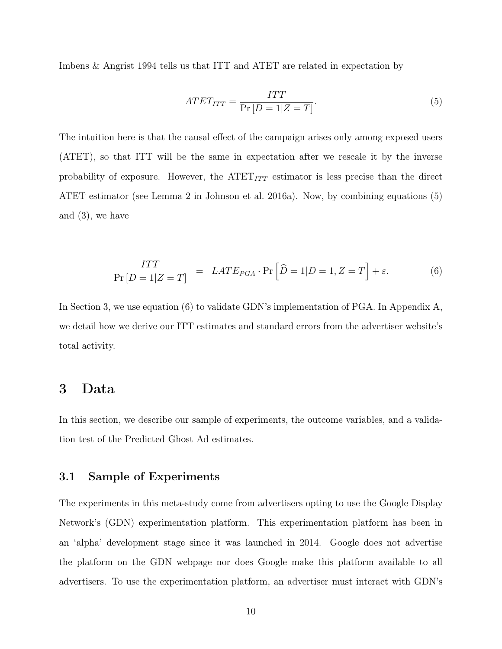Imbens & Angrist 1994 tells us that ITT and ATET are related in expectation by

$$
ATET_{ITT} = \frac{ITT}{\Pr[D = 1 | Z = T]}.
$$
\n(5)

The intuition here is that the causal effect of the campaign arises only among exposed users (ATET), so that ITT will be the same in expectation after we rescale it by the inverse probability of exposure. However, the  $\text{ATET}_{ITT}$  estimator is less precise than the direct ATET estimator (see Lemma 2 in Johnson et al. 2016a). Now, by combining equations (5) and (3), we have

$$
\frac{ITT}{\Pr[D = 1|Z = T]} = LATE_{PGA} \cdot \Pr[\hat{D} = 1|D = 1, Z = T] + \varepsilon. \tag{6}
$$

In Section 3, we use equation (6) to validate GDN's implementation of PGA. In Appendix A, we detail how we derive our ITT estimates and standard errors from the advertiser website's total activity.

# 3 Data

In this section, we describe our sample of experiments, the outcome variables, and a validation test of the Predicted Ghost Ad estimates.

#### 3.1 Sample of Experiments

The experiments in this meta-study come from advertisers opting to use the Google Display Network's (GDN) experimentation platform. This experimentation platform has been in an 'alpha' development stage since it was launched in 2014. Google does not advertise the platform on the GDN webpage nor does Google make this platform available to all advertisers. To use the experimentation platform, an advertiser must interact with GDN's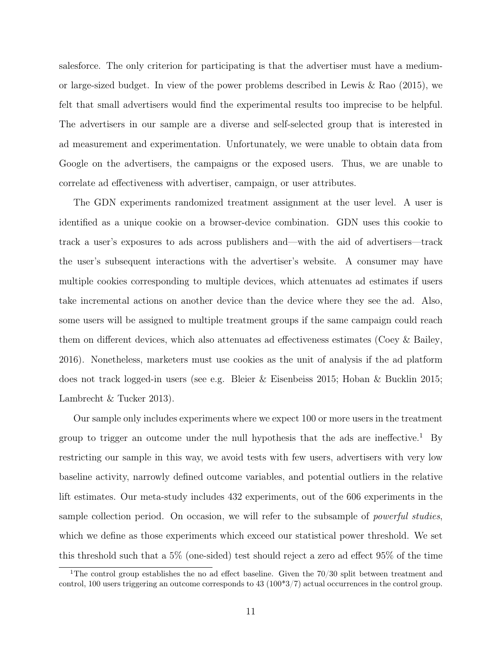salesforce. The only criterion for participating is that the advertiser must have a mediumor large-sized budget. In view of the power problems described in Lewis & Rao (2015), we felt that small advertisers would find the experimental results too imprecise to be helpful. The advertisers in our sample are a diverse and self-selected group that is interested in ad measurement and experimentation. Unfortunately, we were unable to obtain data from Google on the advertisers, the campaigns or the exposed users. Thus, we are unable to correlate ad effectiveness with advertiser, campaign, or user attributes.

The GDN experiments randomized treatment assignment at the user level. A user is identified as a unique cookie on a browser-device combination. GDN uses this cookie to track a user's exposures to ads across publishers and—with the aid of advertisers—track the user's subsequent interactions with the advertiser's website. A consumer may have multiple cookies corresponding to multiple devices, which attenuates ad estimates if users take incremental actions on another device than the device where they see the ad. Also, some users will be assigned to multiple treatment groups if the same campaign could reach them on different devices, which also attenuates ad effectiveness estimates (Coey & Bailey, 2016). Nonetheless, marketers must use cookies as the unit of analysis if the ad platform does not track logged-in users (see e.g. Bleier & Eisenbeiss 2015; Hoban & Bucklin 2015; Lambrecht & Tucker 2013).

Our sample only includes experiments where we expect 100 or more users in the treatment group to trigger an outcome under the null hypothesis that the ads are ineffective.<sup>1</sup> By restricting our sample in this way, we avoid tests with few users, advertisers with very low baseline activity, narrowly defined outcome variables, and potential outliers in the relative lift estimates. Our meta-study includes 432 experiments, out of the 606 experiments in the sample collection period. On occasion, we will refer to the subsample of *powerful studies*, which we define as those experiments which exceed our statistical power threshold. We set this threshold such that a 5% (one-sided) test should reject a zero ad effect 95% of the time

<sup>&</sup>lt;sup>1</sup>The control group establishes the no ad effect baseline. Given the  $70/30$  split between treatment and control, 100 users triggering an outcome corresponds to 43 (100\*3/7) actual occurrences in the control group.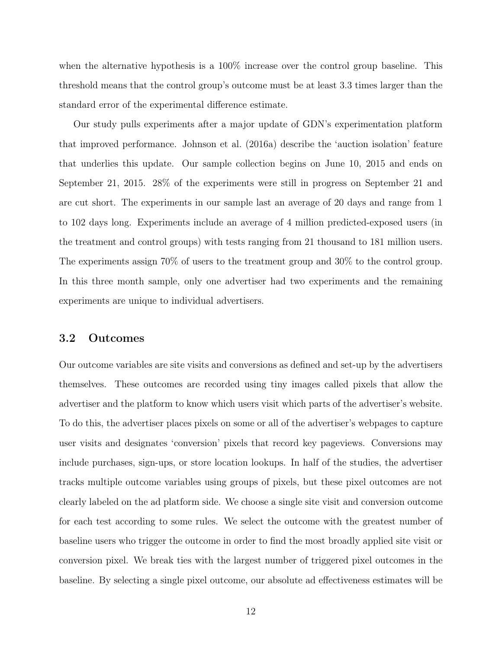when the alternative hypothesis is a 100% increase over the control group baseline. This threshold means that the control group's outcome must be at least 3.3 times larger than the standard error of the experimental difference estimate.

Our study pulls experiments after a major update of GDN's experimentation platform that improved performance. Johnson et al. (2016a) describe the 'auction isolation' feature that underlies this update. Our sample collection begins on June 10, 2015 and ends on September 21, 2015. 28% of the experiments were still in progress on September 21 and are cut short. The experiments in our sample last an average of 20 days and range from 1 to 102 days long. Experiments include an average of 4 million predicted-exposed users (in the treatment and control groups) with tests ranging from 21 thousand to 181 million users. The experiments assign 70% of users to the treatment group and 30% to the control group. In this three month sample, only one advertiser had two experiments and the remaining experiments are unique to individual advertisers.

#### 3.2 Outcomes

Our outcome variables are site visits and conversions as defined and set-up by the advertisers themselves. These outcomes are recorded using tiny images called pixels that allow the advertiser and the platform to know which users visit which parts of the advertiser's website. To do this, the advertiser places pixels on some or all of the advertiser's webpages to capture user visits and designates 'conversion' pixels that record key pageviews. Conversions may include purchases, sign-ups, or store location lookups. In half of the studies, the advertiser tracks multiple outcome variables using groups of pixels, but these pixel outcomes are not clearly labeled on the ad platform side. We choose a single site visit and conversion outcome for each test according to some rules. We select the outcome with the greatest number of baseline users who trigger the outcome in order to find the most broadly applied site visit or conversion pixel. We break ties with the largest number of triggered pixel outcomes in the baseline. By selecting a single pixel outcome, our absolute ad effectiveness estimates will be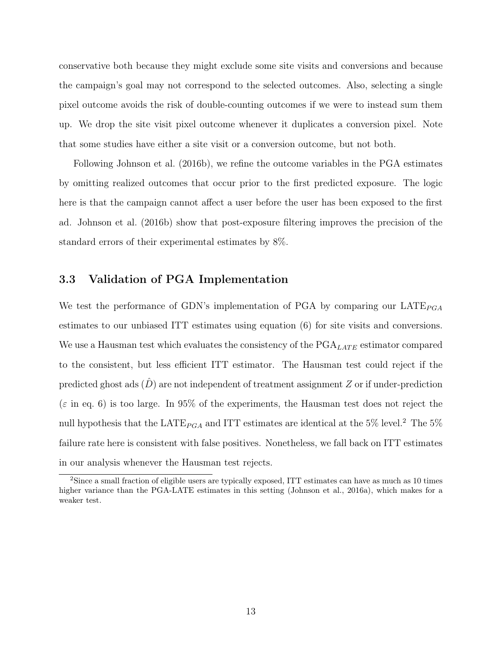conservative both because they might exclude some site visits and conversions and because the campaign's goal may not correspond to the selected outcomes. Also, selecting a single pixel outcome avoids the risk of double-counting outcomes if we were to instead sum them up. We drop the site visit pixel outcome whenever it duplicates a conversion pixel. Note that some studies have either a site visit or a conversion outcome, but not both.

Following Johnson et al. (2016b), we refine the outcome variables in the PGA estimates by omitting realized outcomes that occur prior to the first predicted exposure. The logic here is that the campaign cannot affect a user before the user has been exposed to the first ad. Johnson et al. (2016b) show that post-exposure filtering improves the precision of the standard errors of their experimental estimates by 8%.

#### 3.3 Validation of PGA Implementation

We test the performance of GDN's implementation of PGA by comparing our  $\text{LATE}_{PGA}$ estimates to our unbiased ITT estimates using equation (6) for site visits and conversions. We use a Hausman test which evaluates the consistency of the  $PGA_{LATE}$  estimator compared to the consistent, but less efficient ITT estimator. The Hausman test could reject if the predicted ghost ads  $(\hat{D})$  are not independent of treatment assignment  $Z$  or if under-prediction  $(\varepsilon$  in eq. 6) is too large. In 95% of the experiments, the Hausman test does not reject the null hypothesis that the  $\mathrm{LATE}_{PGA}$  and ITT estimates are identical at the  $5\%$  level. $^2$  The  $5\%$ failure rate here is consistent with false positives. Nonetheless, we fall back on ITT estimates in our analysis whenever the Hausman test rejects.

<sup>&</sup>lt;sup>2</sup>Since a small fraction of eligible users are typically exposed, ITT estimates can have as much as 10 times higher variance than the PGA-LATE estimates in this setting (Johnson et al., 2016a), which makes for a weaker test.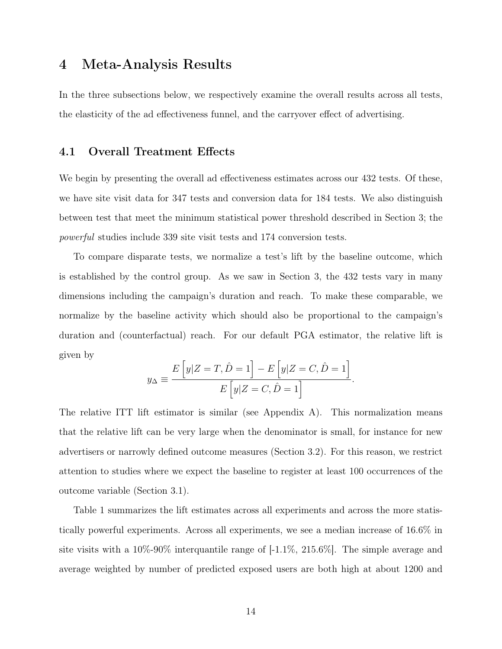# 4 Meta-Analysis Results

In the three subsections below, we respectively examine the overall results across all tests, the elasticity of the ad effectiveness funnel, and the carryover effect of advertising.

#### 4.1 Overall Treatment Effects

We begin by presenting the overall ad effectiveness estimates across our 432 tests. Of these, we have site visit data for 347 tests and conversion data for 184 tests. We also distinguish between test that meet the minimum statistical power threshold described in Section 3; the *powerful* studies include 339 site visit tests and 174 conversion tests.

To compare disparate tests, we normalize a test's lift by the baseline outcome, which is established by the control group. As we saw in Section 3, the 432 tests vary in many dimensions including the campaign's duration and reach. To make these comparable, we normalize by the baseline activity which should also be proportional to the campaign's duration and (counterfactual) reach. For our default PGA estimator, the relative lift is given by

$$
y_{\Delta} \equiv \frac{E\left[y|Z=T,\hat{D}=1\right]-E\left[y|Z=C,\hat{D}=1\right]}{E\left[y|Z=C,\hat{D}=1\right]}.
$$

The relative ITT lift estimator is similar (see Appendix A). This normalization means that the relative lift can be very large when the denominator is small, for instance for new advertisers or narrowly defined outcome measures (Section 3.2). For this reason, we restrict attention to studies where we expect the baseline to register at least 100 occurrences of the outcome variable (Section 3.1).

Table 1 summarizes the lift estimates across all experiments and across the more statistically powerful experiments. Across all experiments, we see a median increase of 16.6% in site visits with a 10%-90% interquantile range of [-1.1%, 215.6%]. The simple average and average weighted by number of predicted exposed users are both high at about 1200 and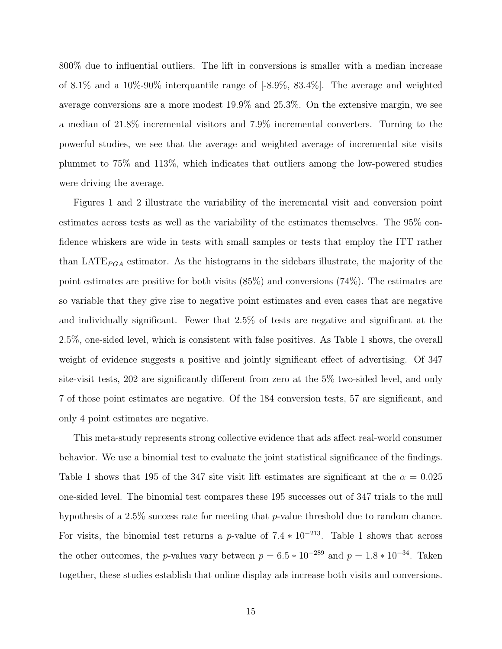800% due to influential outliers. The lift in conversions is smaller with a median increase of 8.1% and a 10%-90% interquantile range of [-8.9%, 83.4%]. The average and weighted average conversions are a more modest 19.9% and 25.3%. On the extensive margin, we see a median of 21.8% incremental visitors and 7.9% incremental converters. Turning to the powerful studies, we see that the average and weighted average of incremental site visits plummet to 75% and 113%, which indicates that outliers among the low-powered studies were driving the average.

Figures 1 and 2 illustrate the variability of the incremental visit and conversion point estimates across tests as well as the variability of the estimates themselves. The 95% confidence whiskers are wide in tests with small samples or tests that employ the ITT rather than LATE<sub>PGA</sub> estimator. As the histograms in the sidebars illustrate, the majority of the point estimates are positive for both visits (85%) and conversions (74%). The estimates are so variable that they give rise to negative point estimates and even cases that are negative and individually significant. Fewer that 2.5% of tests are negative and significant at the 2.5%, one-sided level, which is consistent with false positives. As Table 1 shows, the overall weight of evidence suggests a positive and jointly significant effect of advertising. Of 347 site-visit tests, 202 are significantly different from zero at the 5% two-sided level, and only 7 of those point estimates are negative. Of the 184 conversion tests, 57 are significant, and only 4 point estimates are negative.

This meta-study represents strong collective evidence that ads affect real-world consumer behavior. We use a binomial test to evaluate the joint statistical significance of the findings. Table 1 shows that 195 of the 347 site visit lift estimates are significant at the  $\alpha = 0.025$ one-sided level. The binomial test compares these 195 successes out of 347 trials to the null hypothesis of a 2.5% success rate for meeting that *p*-value threshold due to random chance. For visits, the binomial test returns a *p*-value of  $7.4 * 10^{-213}$ . Table 1 shows that across the other outcomes, the *p*-values vary between  $p = 6.5 * 10^{-289}$  and  $p = 1.8 * 10^{-34}$ . Taken together, these studies establish that online display ads increase both visits and conversions.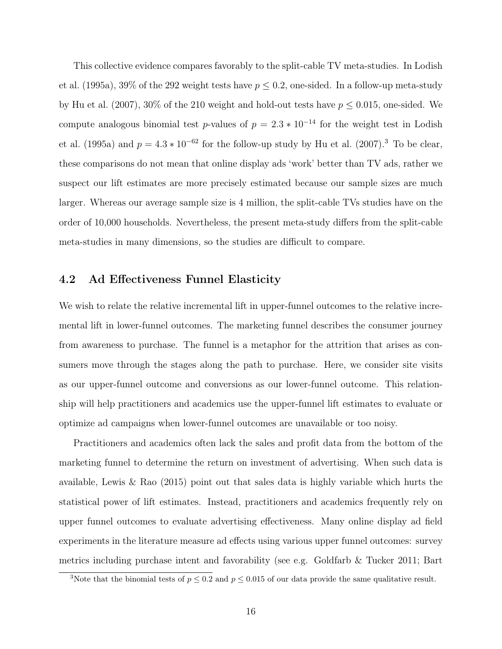This collective evidence compares favorably to the split-cable TV meta-studies. In Lodish et al. (1995a), 39% of the 292 weight tests have  $p \leq 0.2$ , one-sided. In a follow-up meta-study by Hu et al. (2007), 30% of the 210 weight and hold-out tests have  $p \leq 0.015$ , one-sided. We compute analogous binomial test *p*-values of  $p = 2.3 * 10^{-14}$  for the weight test in Lodish et al. (1995a) and  $p = 4.3 * 10^{-62}$  for the follow-up study by Hu et al. (2007).<sup>3</sup> To be clear, these comparisons do not mean that online display ads 'work' better than TV ads, rather we suspect our lift estimates are more precisely estimated because our sample sizes are much larger. Whereas our average sample size is 4 million, the split-cable TVs studies have on the order of 10,000 households. Nevertheless, the present meta-study differs from the split-cable meta-studies in many dimensions, so the studies are difficult to compare.

#### 4.2 Ad Effectiveness Funnel Elasticity

We wish to relate the relative incremental lift in upper-funnel outcomes to the relative incremental lift in lower-funnel outcomes. The marketing funnel describes the consumer journey from awareness to purchase. The funnel is a metaphor for the attrition that arises as consumers move through the stages along the path to purchase. Here, we consider site visits as our upper-funnel outcome and conversions as our lower-funnel outcome. This relationship will help practitioners and academics use the upper-funnel lift estimates to evaluate or optimize ad campaigns when lower-funnel outcomes are unavailable or too noisy.

Practitioners and academics often lack the sales and profit data from the bottom of the marketing funnel to determine the return on investment of advertising. When such data is available, Lewis & Rao (2015) point out that sales data is highly variable which hurts the statistical power of lift estimates. Instead, practitioners and academics frequently rely on upper funnel outcomes to evaluate advertising effectiveness. Many online display ad field experiments in the literature measure ad effects using various upper funnel outcomes: survey metrics including purchase intent and favorability (see e.g. Goldfarb & Tucker 2011; Bart

<sup>&</sup>lt;sup>3</sup>Note that the binomial tests of  $p \le 0.2$  and  $p \le 0.015$  of our data provide the same qualitative result.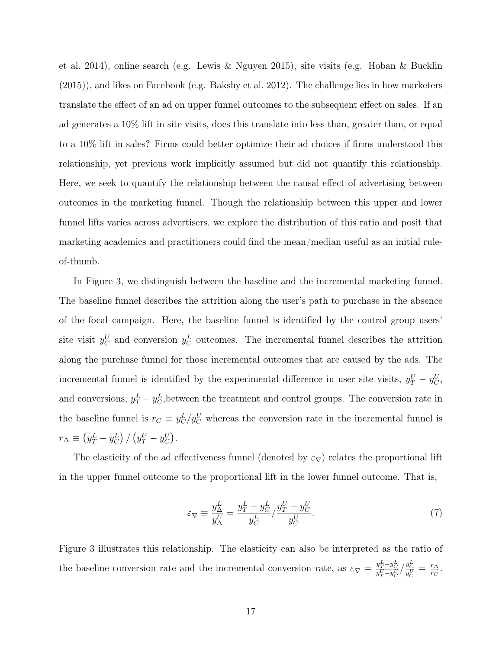et al. 2014), online search (e.g. Lewis & Nguyen 2015), site visits (e.g. Hoban & Bucklin (2015)), and likes on Facebook (e.g. Bakshy et al. 2012). The challenge lies in how marketers translate the effect of an ad on upper funnel outcomes to the subsequent effect on sales. If an ad generates a 10% lift in site visits, does this translate into less than, greater than, or equal to a 10% lift in sales? Firms could better optimize their ad choices if firms understood this relationship, yet previous work implicitly assumed but did not quantify this relationship. Here, we seek to quantify the relationship between the causal effect of advertising between outcomes in the marketing funnel. Though the relationship between this upper and lower funnel lifts varies across advertisers, we explore the distribution of this ratio and posit that marketing academics and practitioners could find the mean/median useful as an initial ruleof-thumb.

In Figure 3, we distinguish between the baseline and the incremental marketing funnel. The baseline funnel describes the attrition along the user's path to purchase in the absence of the focal campaign. Here, the baseline funnel is identified by the control group users' site visit  $y_C^U$  and conversion  $y_C^L$  outcomes. The incremental funnel describes the attrition along the purchase funnel for those incremental outcomes that are caused by the ads. The incremental funnel is identified by the experimental difference in user site visits,  $y_T^U - y_C^U$ , and conversions,  $y_T^L - y_C^L$ , between the treatment and control groups. The conversion rate in the baseline funnel is  $r_C \equiv y_C^L/y_C^U$  whereas the conversion rate in the incremental funnel is  $r_{\Delta} \equiv (y_T^L - y_C^L) / (y_T^U - y_C^U).$ 

The elasticity of the ad effectiveness funnel (denoted by  $\varepsilon_{\nabla}$ ) relates the proportional lift in the upper funnel outcome to the proportional lift in the lower funnel outcome. That is,

$$
\varepsilon_{\nabla} \equiv \frac{y_{\Delta}^L}{y_{\Delta}^U} = \frac{y_T^L - y_C^L}{y_C^L} / \frac{y_T^U - y_C^U}{y_C^U}.
$$
\n<sup>(7)</sup>

Figure 3 illustrates this relationship. The elasticity can also be interpreted as the ratio of the baseline conversion rate and the incremental conversion rate, as  $\varepsilon_{\nabla} = \frac{y_T^L - y_C^L}{y_T^U - y_C^U} / \frac{y_C^L}{y_C^U} = \frac{r_{\Delta}}{r_C}$ .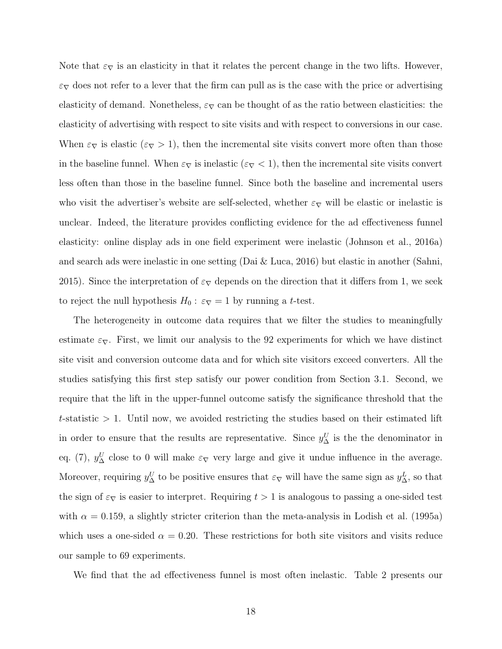Note that  $\varepsilon_{\nabla}$  is an elasticity in that it relates the percent change in the two lifts. However,  $\varepsilon_{\nabla}$  does not refer to a lever that the firm can pull as is the case with the price or advertising elasticity of demand. Nonetheless,  $\epsilon_{\nabla}$  can be thought of as the ratio between elasticities: the elasticity of advertising with respect to site visits and with respect to conversions in our case. When  $\varepsilon_{\nabla}$  is elastic ( $\varepsilon_{\nabla} > 1$ ), then the incremental site visits convert more often than those in the baseline funnel. When  $\varepsilon_{\nabla}$  is inelastic ( $\varepsilon_{\nabla}$  < 1), then the incremental site visits convert less often than those in the baseline funnel. Since both the baseline and incremental users who visit the advertiser's website are self-selected, whether  $\varepsilon_{\nabla}$  will be elastic or inelastic is unclear. Indeed, the literature provides conflicting evidence for the ad effectiveness funnel elasticity: online display ads in one field experiment were inelastic (Johnson et al., 2016a) and search ads were inelastic in one setting (Dai & Luca, 2016) but elastic in another (Sahni, 2015). Since the interpretation of  $\varepsilon_{\nabla}$  depends on the direction that it differs from 1, we seek to reject the null hypothesis  $H_0$ :  $\varepsilon_{\nabla} = 1$  by running a *t*-test.

The heterogeneity in outcome data requires that we filter the studies to meaningfully estimate  $\varepsilon_{\nabla}$ . First, we limit our analysis to the 92 experiments for which we have distinct site visit and conversion outcome data and for which site visitors exceed converters. All the studies satisfying this first step satisfy our power condition from Section 3.1. Second, we require that the lift in the upper-funnel outcome satisfy the significance threshold that the *t*-statistic *>* 1. Until now, we avoided restricting the studies based on their estimated lift in order to ensure that the results are representative. Since  $y^U_\Delta$  is the the denominator in eq. (7),  $y^U_\Delta$  close to 0 will make  $\varepsilon_\nabla$  very large and give it undue influence in the average. Moreover, requiring  $y^U_\Delta$  to be positive ensures that  $\varepsilon_\nabla$  will have the same sign as  $y^L_\Delta$ , so that the sign of  $\varepsilon_{\nabla}$  is easier to interpret. Requiring  $t > 1$  is analogous to passing a one-sided test with  $\alpha = 0.159$ , a slightly stricter criterion than the meta-analysis in Lodish et al. (1995a) which uses a one-sided  $\alpha = 0.20$ . These restrictions for both site visitors and visits reduce our sample to 69 experiments.

We find that the ad effectiveness funnel is most often inelastic. Table 2 presents our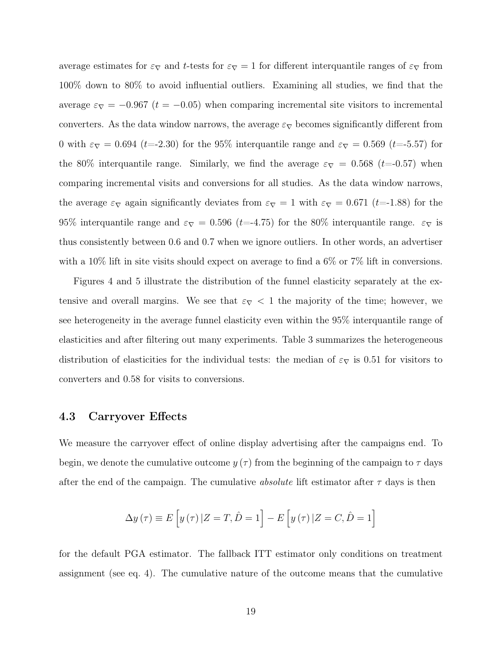average estimates for  $\varepsilon_{\nabla}$  and *t*-tests for  $\varepsilon_{\nabla} = 1$  for different interquantile ranges of  $\varepsilon_{\nabla}$  from 100% down to 80% to avoid influential outliers. Examining all studies, we find that the average  $\varepsilon_{\nabla} = -0.967$  (*t* = -0.05) when comparing incremental site visitors to incremental converters. As the data window narrows, the average  $\varepsilon_{\nabla}$  becomes significantly different from 0 with  $\varepsilon_{\nabla} = 0.694$  (*t*=-2.30) for the 95% interquantile range and  $\varepsilon_{\nabla} = 0.569$  (*t*=-5.57) for the 80% interquantile range. Similarly, we find the average  $\varepsilon_{\nabla} = 0.568$  (*t*=-0.57) when comparing incremental visits and conversions for all studies. As the data window narrows, the average  $\varepsilon_{\nabla}$  again significantly deviates from  $\varepsilon_{\nabla} = 1$  with  $\varepsilon_{\nabla} = 0.671$  (*t*=-1.88) for the 95% interquantile range and  $\varepsilon_{\nabla} = 0.596$  (*t*=-4.75) for the 80% interquantile range.  $\varepsilon_{\nabla}$  is thus consistently between 0.6 and 0.7 when we ignore outliers. In other words, an advertiser with a 10% lift in site visits should expect on average to find a 6% or 7% lift in conversions.

Figures 4 and 5 illustrate the distribution of the funnel elasticity separately at the extensive and overall margins. We see that  $\varepsilon_{\nabla}$  < 1 the majority of the time; however, we see heterogeneity in the average funnel elasticity even within the 95% interquantile range of elasticities and after filtering out many experiments. Table 3 summarizes the heterogeneous distribution of elasticities for the individual tests: the median of  $\varepsilon_{\nabla}$  is 0.51 for visitors to converters and 0*.*58 for visits to conversions.

#### 4.3 Carryover Effects

We measure the carryover effect of online display advertising after the campaigns end. To begin, we denote the cumulative outcome  $y(\tau)$  from the beginning of the campaign to  $\tau$  days after the end of the campaign. The cumulative *absolute* lift estimator after  $\tau$  days is then

$$
\Delta y\left(\tau\right) \equiv E\left[y\left(\tau\right)|Z = T, \hat{D} = 1\right] - E\left[y\left(\tau\right)|Z = C, \hat{D} = 1\right]
$$

for the default PGA estimator. The fallback ITT estimator only conditions on treatment assignment (see eq. 4). The cumulative nature of the outcome means that the cumulative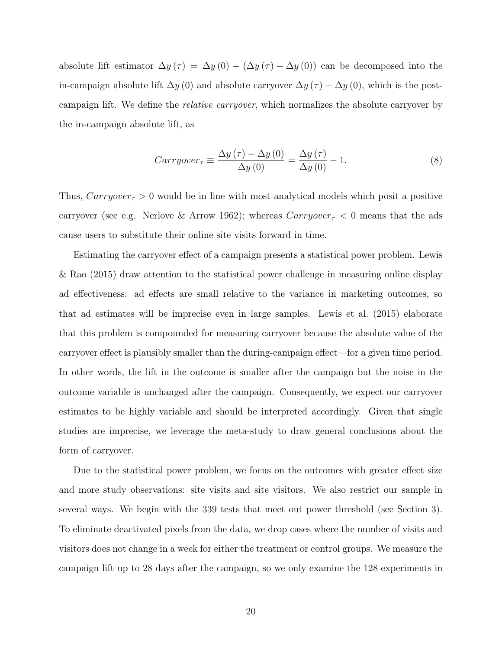absolute lift estimator  $\Delta y(\tau) = \Delta y(0) + (\Delta y(\tau) - \Delta y(0))$  can be decomposed into the in-campaign absolute lift  $\Delta y$  (0) and absolute carryover  $\Delta y$  ( $\tau$ )  $-\Delta y$  (0), which is the postcampaign lift. We define the *relative carryover*, which normalizes the absolute carryover by the in-campaign absolute lift, as

$$
Carryover_{\tau} \equiv \frac{\Delta y\left(\tau\right) - \Delta y\left(0\right)}{\Delta y\left(0\right)} = \frac{\Delta y\left(\tau\right)}{\Delta y\left(0\right)} - 1. \tag{8}
$$

Thus,  $Carryover_\tau > 0$  would be in line with most analytical models which posit a positive carryover (see e.g. Nerlove & Arrow 1962); whereas  $Carryover_7 < 0$  means that the ads cause users to substitute their online site visits forward in time.

Estimating the carryover effect of a campaign presents a statistical power problem. Lewis & Rao (2015) draw attention to the statistical power challenge in measuring online display ad effectiveness: ad effects are small relative to the variance in marketing outcomes, so that ad estimates will be imprecise even in large samples. Lewis et al. (2015) elaborate that this problem is compounded for measuring carryover because the absolute value of the carryover effect is plausibly smaller than the during-campaign effect—for a given time period. In other words, the lift in the outcome is smaller after the campaign but the noise in the outcome variable is unchanged after the campaign. Consequently, we expect our carryover estimates to be highly variable and should be interpreted accordingly. Given that single studies are imprecise, we leverage the meta-study to draw general conclusions about the form of carryover.

Due to the statistical power problem, we focus on the outcomes with greater effect size and more study observations: site visits and site visitors. We also restrict our sample in several ways. We begin with the 339 tests that meet out power threshold (see Section 3). To eliminate deactivated pixels from the data, we drop cases where the number of visits and visitors does not change in a week for either the treatment or control groups. We measure the campaign lift up to 28 days after the campaign, so we only examine the 128 experiments in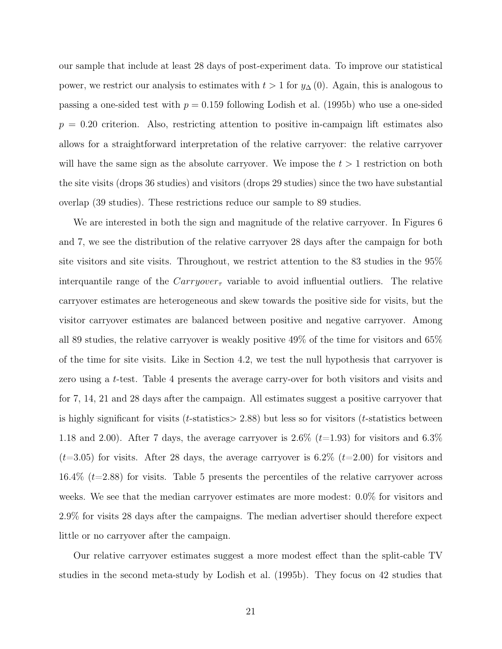our sample that include at least 28 days of post-experiment data. To improve our statistical power, we restrict our analysis to estimates with  $t > 1$  for  $y_{\Delta}(0)$ . Again, this is analogous to passing a one-sided test with *p* = 0*.*159 following Lodish et al. (1995b) who use a one-sided *p* = 0*.*20 criterion. Also, restricting attention to positive in-campaign lift estimates also allows for a straightforward interpretation of the relative carryover: the relative carryover will have the same sign as the absolute carryover. We impose the *t >* 1 restriction on both the site visits (drops 36 studies) and visitors (drops 29 studies) since the two have substantial overlap (39 studies). These restrictions reduce our sample to 89 studies.

We are interested in both the sign and magnitude of the relative carryover. In Figures 6 and 7, we see the distribution of the relative carryover 28 days after the campaign for both site visitors and site visits. Throughout, we restrict attention to the 83 studies in the 95% interquantile range of the  $Carryover_\tau$  variable to avoid influential outliers. The relative carryover estimates are heterogeneous and skew towards the positive side for visits, but the visitor carryover estimates are balanced between positive and negative carryover. Among all 89 studies, the relative carryover is weakly positive 49% of the time for visitors and 65% of the time for site visits. Like in Section 4.2, we test the null hypothesis that carryover is zero using a *t*-test. Table 4 presents the average carry-over for both visitors and visits and for 7, 14, 21 and 28 days after the campaign. All estimates suggest a positive carryover that is highly significant for visits (*t*-statistics*>* 2*.*88) but less so for visitors (*t*-statistics between 1.18 and 2.00). After 7 days, the average carryover is  $2.6\%$  ( $t=1.93$ ) for visitors and  $6.3\%$  $(t=3.05)$  for visits. After 28 days, the average carryover is 6.2%  $(t=2.00)$  for visitors and 16.4% (*t*=2.88) for visits. Table 5 presents the percentiles of the relative carryover across weeks. We see that the median carryover estimates are more modest: 0.0% for visitors and 2.9% for visits 28 days after the campaigns. The median advertiser should therefore expect little or no carryover after the campaign.

Our relative carryover estimates suggest a more modest effect than the split-cable TV studies in the second meta-study by Lodish et al. (1995b). They focus on 42 studies that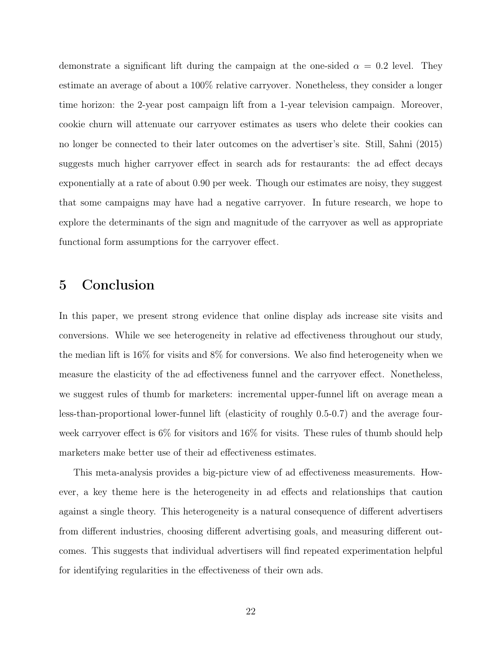demonstrate a significant lift during the campaign at the one-sided  $\alpha = 0.2$  level. They estimate an average of about a 100% relative carryover. Nonetheless, they consider a longer time horizon: the 2-year post campaign lift from a 1-year television campaign. Moreover, cookie churn will attenuate our carryover estimates as users who delete their cookies can no longer be connected to their later outcomes on the advertiser's site. Still, Sahni (2015) suggests much higher carryover effect in search ads for restaurants: the ad effect decays exponentially at a rate of about 0.90 per week. Though our estimates are noisy, they suggest that some campaigns may have had a negative carryover. In future research, we hope to explore the determinants of the sign and magnitude of the carryover as well as appropriate functional form assumptions for the carryover effect.

# 5 Conclusion

In this paper, we present strong evidence that online display ads increase site visits and conversions. While we see heterogeneity in relative ad effectiveness throughout our study, the median lift is 16% for visits and 8% for conversions. We also find heterogeneity when we measure the elasticity of the ad effectiveness funnel and the carryover effect. Nonetheless, we suggest rules of thumb for marketers: incremental upper-funnel lift on average mean a less-than-proportional lower-funnel lift (elasticity of roughly 0.5-0.7) and the average fourweek carryover effect is 6% for visitors and 16% for visits. These rules of thumb should help marketers make better use of their ad effectiveness estimates.

This meta-analysis provides a big-picture view of ad effectiveness measurements. However, a key theme here is the heterogeneity in ad effects and relationships that caution against a single theory. This heterogeneity is a natural consequence of different advertisers from different industries, choosing different advertising goals, and measuring different outcomes. This suggests that individual advertisers will find repeated experimentation helpful for identifying regularities in the effectiveness of their own ads.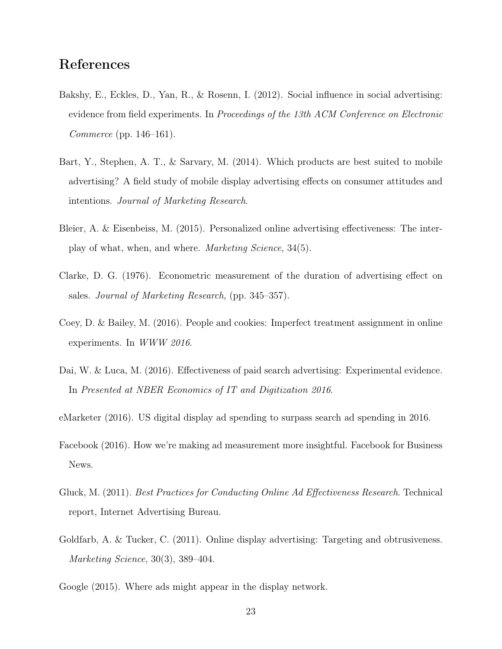# References

- Bakshy, E., Eckles, D., Yan, R., & Rosenn, I. (2012). Social influence in social advertising: evidence from field experiments. In *Proceedings of the 13th ACM Conference on Electronic Commerce* (pp. 146–161).
- Bart, Y., Stephen, A. T., & Sarvary, M. (2014). Which products are best suited to mobile advertising? A field study of mobile display advertising effects on consumer attitudes and intentions. *Journal of Marketing Research*.
- Bleier, A. & Eisenbeiss, M. (2015). Personalized online advertising effectiveness: The interplay of what, when, and where. *Marketing Science*, 34(5).
- Clarke, D. G. (1976). Econometric measurement of the duration of advertising effect on sales. *Journal of Marketing Research*, (pp. 345–357).
- Coey, D. & Bailey, M. (2016). People and cookies: Imperfect treatment assignment in online experiments. In *WWW 2016*.
- Dai, W. & Luca, M. (2016). Effectiveness of paid search advertising: Experimental evidence. In *Presented at NBER Economics of IT and Digitization 2016*.
- eMarketer (2016). US digital display ad spending to surpass search ad spending in 2016.
- Facebook (2016). How we're making ad measurement more insightful. Facebook for Business News.
- Gluck, M. (2011). *Best Practices for Conducting Online Ad E*ff*ectiveness Research*. Technical report, Internet Advertising Bureau.
- Goldfarb, A. & Tucker, C. (2011). Online display advertising: Targeting and obtrusiveness. *Marketing Science*, 30(3), 389–404.
- Google (2015). Where ads might appear in the display network.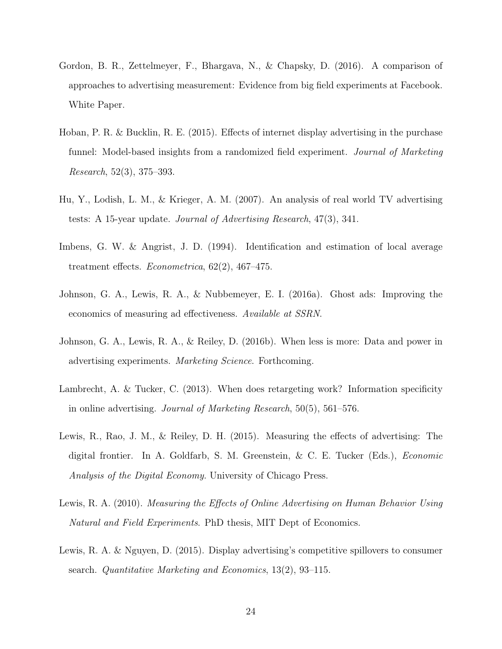- Gordon, B. R., Zettelmeyer, F., Bhargava, N., & Chapsky, D. (2016). A comparison of approaches to advertising measurement: Evidence from big field experiments at Facebook. White Paper.
- Hoban, P. R. & Bucklin, R. E. (2015). Effects of internet display advertising in the purchase funnel: Model-based insights from a randomized field experiment. *Journal of Marketing Research*, 52(3), 375–393.
- Hu, Y., Lodish, L. M., & Krieger, A. M. (2007). An analysis of real world TV advertising tests: A 15-year update. *Journal of Advertising Research*, 47(3), 341.
- Imbens, G. W. & Angrist, J. D. (1994). Identification and estimation of local average treatment effects. *Econometrica*, 62(2), 467–475.
- Johnson, G. A., Lewis, R. A., & Nubbemeyer, E. I. (2016a). Ghost ads: Improving the economics of measuring ad effectiveness. *Available at SSRN*.
- Johnson, G. A., Lewis, R. A., & Reiley, D. (2016b). When less is more: Data and power in advertising experiments. *Marketing Science*. Forthcoming.
- Lambrecht, A. & Tucker, C. (2013). When does retargeting work? Information specificity in online advertising. *Journal of Marketing Research*, 50(5), 561–576.
- Lewis, R., Rao, J. M., & Reiley, D. H. (2015). Measuring the effects of advertising: The digital frontier. In A. Goldfarb, S. M. Greenstein, & C. E. Tucker (Eds.), *Economic Analysis of the Digital Economy*. University of Chicago Press.
- Lewis, R. A. (2010). *Measuring the E*ff*ects of Online Advertising on Human Behavior Using Natural and Field Experiments*. PhD thesis, MIT Dept of Economics.
- Lewis, R. A. & Nguyen, D. (2015). Display advertising's competitive spillovers to consumer search. *Quantitative Marketing and Economics*, 13(2), 93–115.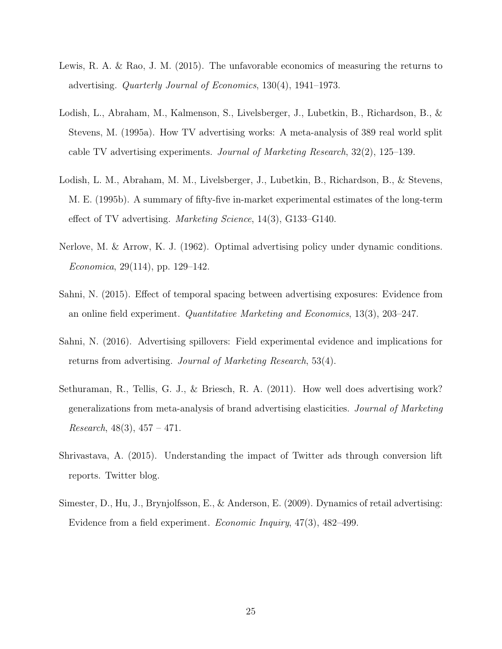- Lewis, R. A. & Rao, J. M. (2015). The unfavorable economics of measuring the returns to advertising. *Quarterly Journal of Economics*, 130(4), 1941–1973.
- Lodish, L., Abraham, M., Kalmenson, S., Livelsberger, J., Lubetkin, B., Richardson, B., & Stevens, M. (1995a). How TV advertising works: A meta-analysis of 389 real world split cable TV advertising experiments. *Journal of Marketing Research*, 32(2), 125–139.
- Lodish, L. M., Abraham, M. M., Livelsberger, J., Lubetkin, B., Richardson, B., & Stevens, M. E. (1995b). A summary of fifty-five in-market experimental estimates of the long-term effect of TV advertising. *Marketing Science*, 14(3), G133–G140.
- Nerlove, M. & Arrow, K. J. (1962). Optimal advertising policy under dynamic conditions. *Economica*, 29(114), pp. 129–142.
- Sahni, N. (2015). Effect of temporal spacing between advertising exposures: Evidence from an online field experiment. *Quantitative Marketing and Economics*, 13(3), 203–247.
- Sahni, N. (2016). Advertising spillovers: Field experimental evidence and implications for returns from advertising. *Journal of Marketing Research*, 53(4).
- Sethuraman, R., Tellis, G. J., & Briesch, R. A. (2011). How well does advertising work? generalizations from meta-analysis of brand advertising elasticities. *Journal of Marketing Research*, 48(3), 457 – 471.
- Shrivastava, A. (2015). Understanding the impact of Twitter ads through conversion lift reports. Twitter blog.
- Simester, D., Hu, J., Brynjolfsson, E., & Anderson, E. (2009). Dynamics of retail advertising: Evidence from a field experiment. *Economic Inquiry*, 47(3), 482–499.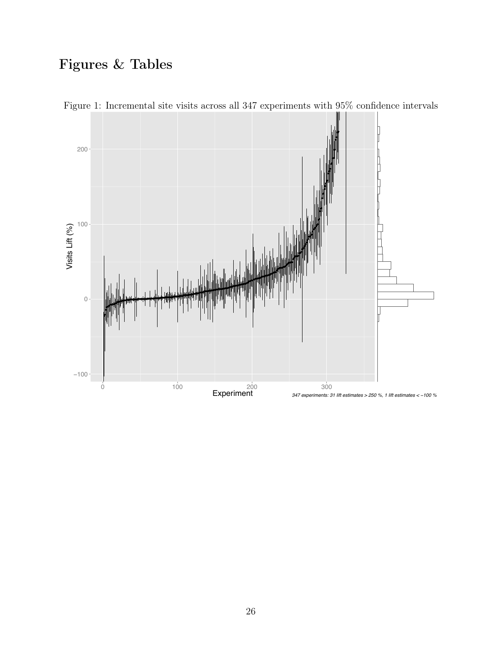# Figures & Tables



Figure 1: Incremental site visits across all 347 experiments with 95% confidence intervals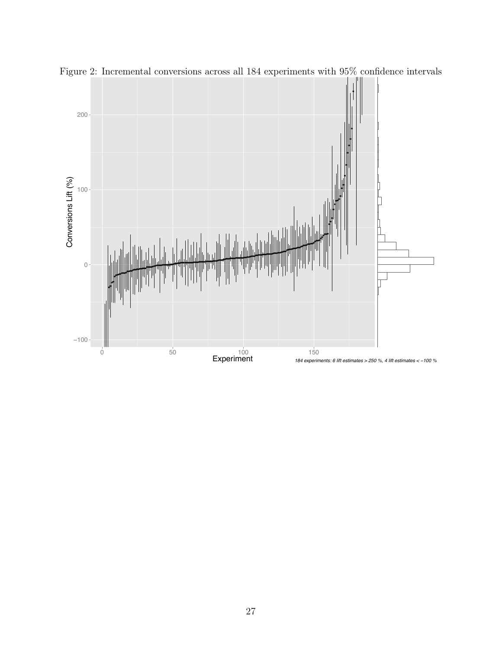

Figure 2: Incremental conversions across all 184 experiments with 95% confidence intervals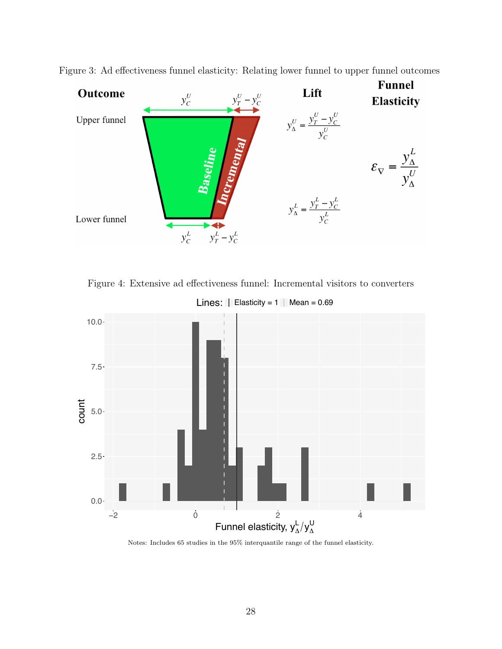

Figure 3: Ad effectiveness funnel elasticity: Relating lower funnel to upper funnel outcomes

Figure 4: Extensive ad effectiveness funnel: Incremental visitors to converters



Notes: Includes  $65$  studies in the  $95\%$  interquantile range of the funnel elasticity.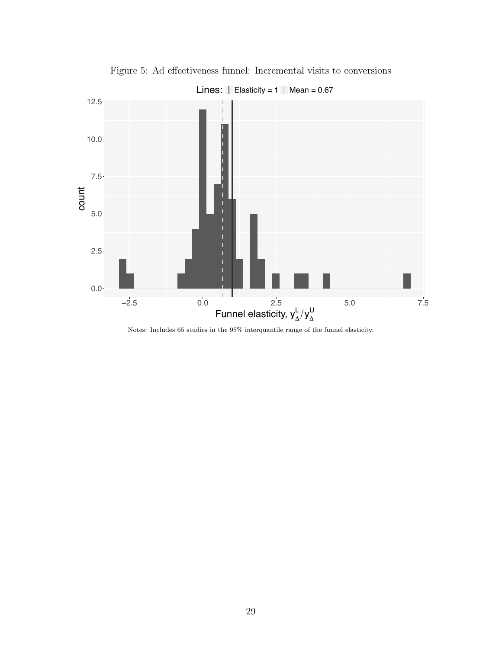

Figure 5: Ad effectiveness funnel: Incremental visits to conversions

Notes: Includes 65 studies in the 95% interquantile range of the funnel elasticity.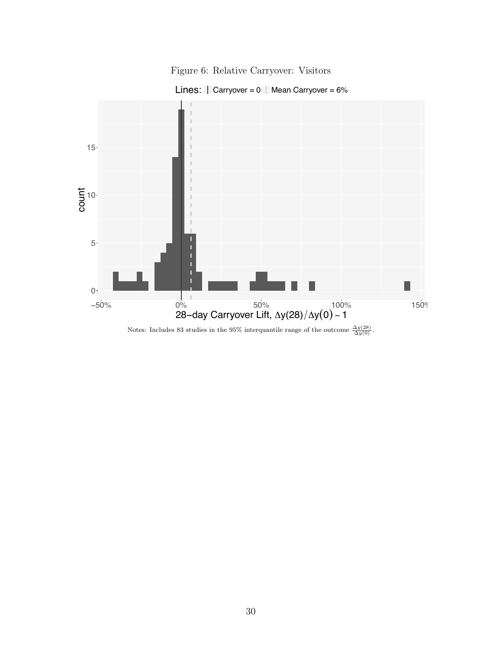



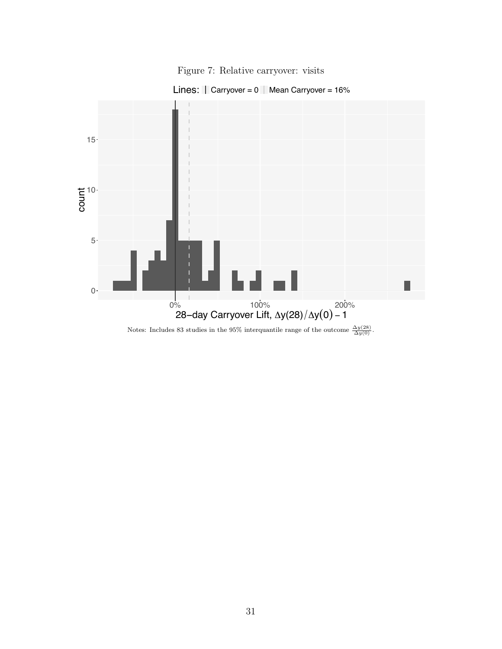





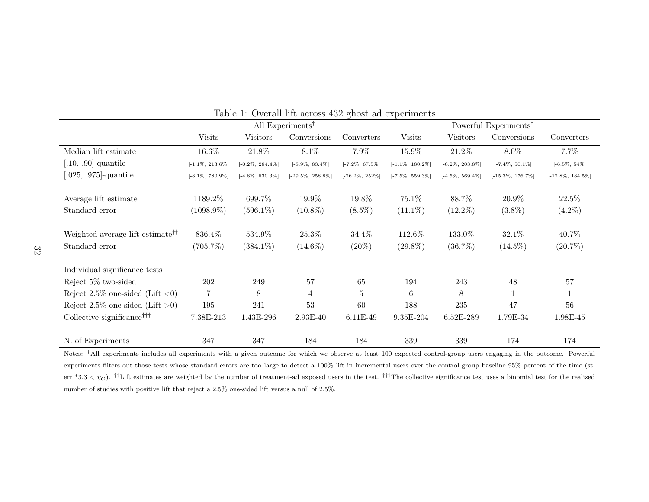|                                              | All Experiments <sup>†</sup> |                     |                      |                    | Powerful Experiments <sup>†</sup> |                     |                      |                      |
|----------------------------------------------|------------------------------|---------------------|----------------------|--------------------|-----------------------------------|---------------------|----------------------|----------------------|
|                                              | <b>Visits</b>                | <b>Visitors</b>     | Conversions          | Converters         | <b>Visits</b>                     | Visitors            | Conversions          | Converters           |
| Median lift estimate                         | 16.6%                        | 21.8%               | $8.1\%$              | 7.9%               | 15.9%                             | 21.2%               | 8.0%                 | 7.7%                 |
| $[.10, .90]$ -quantile                       | $[-1.1\%, 213.6\%]$          | $[-0.2\%, 284.4\%]$ | $[-8.9\%, 83.4\%]$   | $[-7.2\%, 67.5\%]$ | $[-1.1\%, 180.2\%]$               | $[-0.2\%, 203.8\%]$ | $[-7.4\%, 50.1\%]$   | $[-6.5\%, 54\%]$     |
| $[.025, .975]$ -quantile                     | $[-8.1\%, 780.9\%]$          | $[-4.8\%, 830.3\%]$ | $[-29.5\%, 258.8\%]$ | $[-26.2\%, 252\%]$ | $[-7.5\%, 559.3\%]$               | $[-4.5\%, 569.4\%]$ | $[-15.3\%, 176.7\%]$ | $[-12.8\%, 184.5\%]$ |
|                                              |                              |                     |                      |                    |                                   |                     |                      |                      |
| Average lift estimate                        | 1189.2%                      | 699.7%              | 19.9%                | 19.8%              | 75.1%                             | 88.7%               | 20.9%                | 22.5%                |
| Standard error                               | $(1098.9\%)$                 | $(596.1\%)$         | $(10.8\%)$           | $(8.5\%)$          | $(11.1\%)$                        | $(12.2\%)$          | $(3.8\%)$            | $(4.2\%)$            |
|                                              |                              |                     |                      |                    |                                   |                     |                      |                      |
| Weighted average lift estimate <sup>††</sup> | 836.4%                       | 534.9%              | 25.3%                | 34.4%              | 112.6%                            | 133.0%              | 32.1%                | 40.7%                |
| Standard error                               | $(705.7\%)$                  | $(384.1\%)$         | $(14.6\%)$           | $(20\%)$           | $(29.8\%)$                        | $(36.7\%)$          | $(14.5\%)$           | $(20.7\%)$           |
| Individual significance tests                |                              |                     |                      |                    |                                   |                     |                      |                      |
| Reject 5% two-sided                          | 202                          | 249                 | 57                   | 65                 | 194                               | 243                 | 48                   | 57                   |
| Reject $2.5\%$ one-sided (Lift <0)           | 7                            | 8                   | $\overline{4}$       | 5                  | 6                                 | 8                   | $\mathbf{1}$         | $\mathbf{1}$         |
| Reject $2.5\%$ one-sided (Lift $>0$ )        | 195                          | 241                 | 53                   | 60                 | 188                               | 235                 | 47                   | 56                   |
| Collective significance <sup>†††</sup>       | 7.38E-213                    | 1.43E-296           | 2.93E-40             | 6.11E-49           | 9.35E-204                         | 6.52E-289           | 1.79E-34             | 1.98E-45             |
|                                              |                              |                     |                      |                    |                                   |                     |                      |                      |
| N. of Experiments                            | 347                          | 347                 | 184                  | 184                | 339                               | 339                 | 174                  | 174                  |

Table 1: Overall lift across 432 ghost ad experiments

Notes: <sup>†</sup>All experiments includes all experiments with a given outcome for which we observe at least 100 expected control-group users engaging in the outcome. Powerful experiments filters out those tests whose standard errors are too large to detect a 100% lift in incremental users over the control group baseline 95% percent of the time (st. err \*3.3 < *y<sup>C</sup>* ). *††*Lift estimates are weighted by the number of treatment-ad exposed users in the test. *†††*The collective significance test uses a binomial test for the realized number of studies with positive lift that reject a 2.5% one-sided lift versus a null of 2.5%.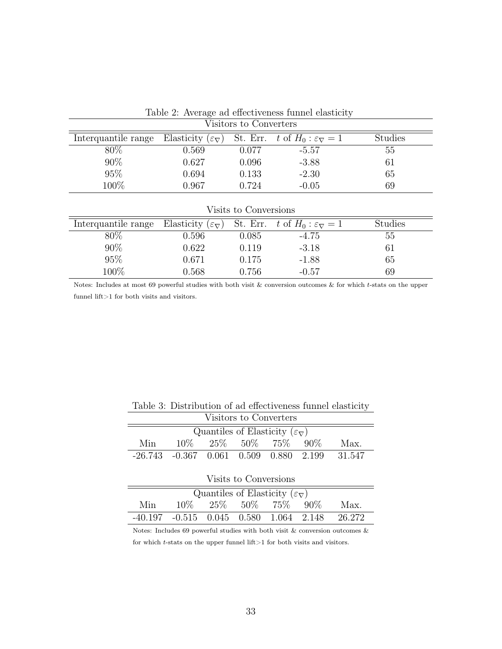| Visitors to Converters                                  |       |       |                                               |                |  |  |  |
|---------------------------------------------------------|-------|-------|-----------------------------------------------|----------------|--|--|--|
| Interquantile range Elasticity $(\varepsilon_{\nabla})$ |       |       | St. Err. t of $H_0: \varepsilon_{\nabla} = 1$ | <b>Studies</b> |  |  |  |
| $80\%$                                                  | 0.569 | 0.077 | $-5.57$                                       | 55             |  |  |  |
| 90%                                                     | 0.627 | 0.096 | $-3.88$                                       | 61             |  |  |  |
| 95%                                                     | 0.694 | 0.133 | $-2.30$                                       | 65             |  |  |  |
| 100%                                                    | 0.967 | 0.724 | $-0.05$                                       | 69             |  |  |  |

Table 2: Average ad effectiveness funnel elasticity

|  | Visits to Conversions |
|--|-----------------------|
|  |                       |

| Interquantile range Elasticity $(\varepsilon_{\nabla})$ St. Err. t of $H_0: \varepsilon_{\nabla} = 1$ |       |       |         | Studies |
|-------------------------------------------------------------------------------------------------------|-------|-------|---------|---------|
| $80\%$                                                                                                | 0.596 | 0.085 | $-4.75$ | 55      |
| $90\%$                                                                                                | 0.622 | 0.119 | $-3.18$ |         |
| 95%                                                                                                   | 0.671 | 0.175 | $-1.88$ | 65      |
| $100\%$                                                                                               | 0.568 | 0.756 | $-0.57$ | 69      |

Notes: Includes at most 69 powerful studies with both visit & conversion outcomes & for which *t*-stats on the upper funnel lift $>1$  for both visits and visitors.

| Visitors to Converters                                      |  |                                    |  |  |  |      |
|-------------------------------------------------------------|--|------------------------------------|--|--|--|------|
| Quantiles of Elasticity $(\varepsilon_{\nabla})$            |  |                                    |  |  |  |      |
| Min.                                                        |  | $10\%$ $25\%$ $50\%$ $75\%$ $90\%$ |  |  |  | Max. |
| $-26.743$ $-0.367$ $0.061$ $0.509$ $0.880$ $2.199$ $31.547$ |  |                                    |  |  |  |      |
|                                                             |  |                                    |  |  |  |      |

Table 3: Distribution of ad effectiveness funnel elasticity

| Visits to Conversions                            |  |  |                                    |  |  |                                                             |
|--------------------------------------------------|--|--|------------------------------------|--|--|-------------------------------------------------------------|
| Quantiles of Elasticity $(\varepsilon_{\nabla})$ |  |  |                                    |  |  |                                                             |
| Min.                                             |  |  | $10\%$ $25\%$ $50\%$ $75\%$ $90\%$ |  |  | Max.                                                        |
|                                                  |  |  |                                    |  |  | $-40.197$ $-0.515$ $0.045$ $0.580$ $1.064$ $2.148$ $26.272$ |

Notes: Includes 69 powerful studies with both visit  $\&$  conversion outcomes  $\&$ for which *t*-stats on the upper funnel lift >1 for both visits and visitors.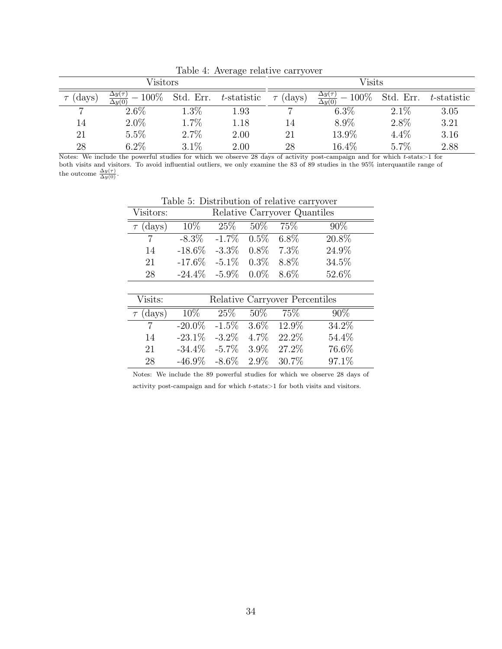|       | Visitors                                     |           | ◡              | Visits           |                                              |           |             |  |
|-------|----------------------------------------------|-----------|----------------|------------------|----------------------------------------------|-----------|-------------|--|
| days) | $\Delta y(\tau)$<br>$100\%$<br>$\Delta u(0)$ | Std. Err. | $t$ -statistic | (days)<br>$\tau$ | $\frac{\Delta y(\tau)}{\Delta y(0)}$<br>100% | Std. Err. | t-statistic |  |
|       | $2.6\%$                                      | $1.3\%$   | 1.93           |                  | $6.3\%$                                      | $2.1\%$   | 3.05        |  |
| 14    | $2.0\%$                                      | 1.7%      | 1.18           | 14               | 8.9%                                         | 2.8%      | 3.21        |  |
| 21    | $5.5\%$                                      | 2.7%      | 2.00           | 21               | 13.9%                                        | 4.4%      | 3.16        |  |
| 28    | $6.2\%$                                      | $3.1\%$   | 2.00           | 28               | 16.4%                                        | 5.7%      | 2.88        |  |

Table 4: Average relative carryover

Notes: We include the powerful studies for which we observe 28 days of activity post-campaign and for which *t*-stats>1 for both visits and visitors. To avoid influential outliers, we only examine the 83 of 89 studies in the 95% interquantile range of the outcome  $\frac{\Delta y(\tau)}{\Delta y(0)}$ .

Table 5: Distribution of relative carryover

| Visitors:     | Relative Carryover Quantiles       |                                |           |  |        |  |  |
|---------------|------------------------------------|--------------------------------|-----------|--|--------|--|--|
| $\tau$ (days) | $10\%$                             | $25\%$                         | 50\% 75\% |  | $90\%$ |  |  |
|               |                                    | $-8.3\%$ $-1.7\%$ $0.5\%$ 6.8% |           |  | 20.8%  |  |  |
| 14            | $-18.6\%$ $-3.3\%$ $0.8\%$ 7.3%    |                                |           |  | 24.9%  |  |  |
| 21            | $-17.6\%$ $-5.1\%$ $0.3\%$ $8.8\%$ |                                |           |  | 34.5%  |  |  |
| 28            | $-24.4\%$ $-5.9\%$ $0.0\%$ $8.6\%$ |                                |           |  | 52.6%  |  |  |

| Visits:        | Relative Carryover Percentiles      |        |            |  |        |  |  |
|----------------|-------------------------------------|--------|------------|--|--------|--|--|
| $\tau$ (days)  | $10\%$                              | $25\%$ | $50\%$ 75% |  | $90\%$ |  |  |
| $\overline{7}$ | $-20.0\%$ $-1.5\%$ $3.6\%$ $12.9\%$ |        |            |  | 34.2%  |  |  |
| 14             | $-23.1\%$ $-3.2\%$ $4.7\%$ $22.2\%$ |        |            |  | 54.4%  |  |  |
| 21             | $-34.4\%$ $-5.7\%$ $3.9\%$ $27.2\%$ |        |            |  | 76.6%  |  |  |
| 28             | $-46.9\%$ $-8.6\%$ 2.9\% 30.7\%     |        |            |  | 97.1%  |  |  |

Notes: We include the 89 powerful studies for which we observe 28 days of activity post-campaign and for which *t*-stats>1 for both visits and visitors.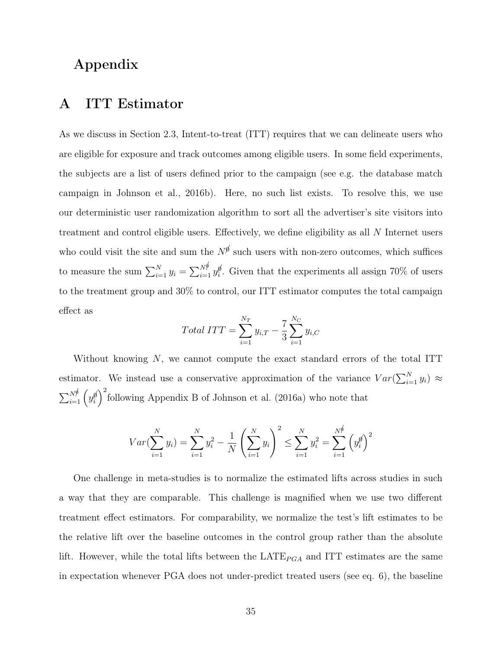# Appendix

# A ITT Estimator

As we discuss in Section 2.3, Intent-to-treat (ITT) requires that we can delineate users who are eligible for exposure and track outcomes among eligible users. In some field experiments, the subjects are a list of users defined prior to the campaign (see e.g. the database match campaign in Johnson et al., 2016b). Here, no such list exists. To resolve this, we use our deterministic user randomization algorithm to sort all the advertiser's site visitors into treatment and control eligible users. Effectively, we define eligibility as all *N* Internet users who could visit the site and sum the  $N^{\beta}$  such users with non-zero outcomes, which suffices to measure the sum  $\sum_{i=1}^{N} y_i = \sum_{i=1}^{N^{\phi}} y_i^{\phi}$ . Given that the experiments all assign 70% of users to the treatment group and 30% to control, our ITT estimator computes the total campaign effect as

$$
Total \ ITT = \sum_{i=1}^{N_T} y_{i,T} - \frac{7}{3} \sum_{i=1}^{N_C} y_{i,C}
$$

Without knowing *N*, we cannot compute the exact standard errors of the total ITT estimator. We instead use a conservative approximation of the variance  $Var(\sum_{i=1}^{N} y_i) \approx$  $\sum_{i=1}^{N^{\cancel{\theta}}}\Big(y_i^{\cancel{\theta}}$  $\int_{0}^{2}$  following Appendix B of Johnson et al. (2016a) who note that

$$
Var(\sum_{i=1}^{N} y_i) = \sum_{i=1}^{N} y_i^2 - \frac{1}{N} \left(\sum_{i=1}^{N} y_i\right)^2 \le \sum_{i=1}^{N} y_i^2 = \sum_{i=1}^{N^{\oint}} \left(y_i^{\emptyset}\right)^2
$$

One challenge in meta-studies is to normalize the estimated lifts across studies in such a way that they are comparable. This challenge is magnified when we use two different treatment effect estimators. For comparability, we normalize the test's lift estimates to be the relative lift over the baseline outcomes in the control group rather than the absolute lift. However, while the total lifts between the  $\text{LATE}_{PGA}$  and ITT estimates are the same in expectation whenever PGA does not under-predict treated users (see eq. 6), the baseline